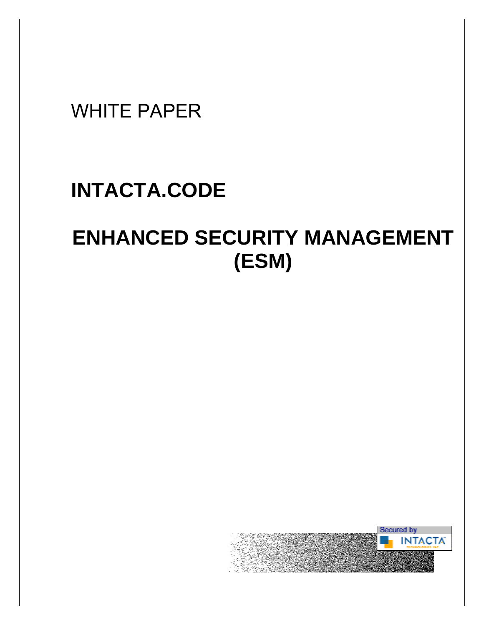## WHITE PAPER

## **INTACTA.CODE**

# **ENHANCED SECURITY MANAGEMENT (ESM)**

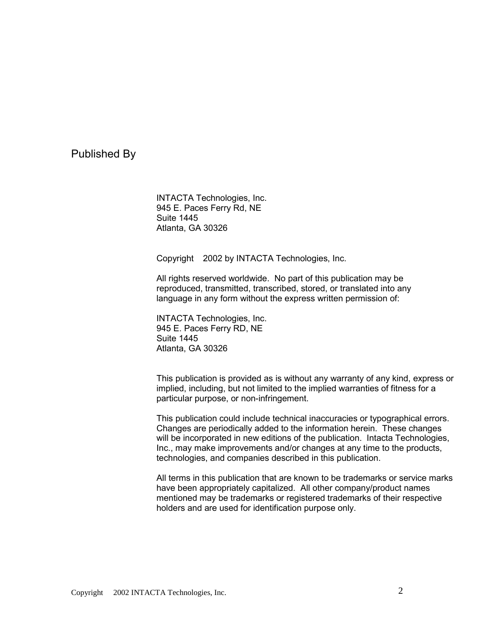Published By

INTACTA Technologies, Inc. 945 E. Paces Ferry Rd, NE Suite 1445 Atlanta, GA 30326

Copyright ©2002 by INTACTA Technologies, Inc.

All rights reserved worldwide. No part of this publication may be reproduced, transmitted, transcribed, stored, or translated into any language in any form without the express written permission of:

INTACTA Technologies, Inc. 945 E. Paces Ferry RD, NE Suite 1445 Atlanta, GA 30326

This publication is provided as is without any warranty of any kind, express or implied, including, but not limited to the implied warranties of fitness for a particular purpose, or non-infringement.

This publication could include technical inaccuracies or typographical errors. Changes are periodically added to the information herein. These changes will be incorporated in new editions of the publication. Intacta Technologies, Inc., may make improvements and/or changes at any time to the products, technologies, and companies described in this publication.

All terms in this publication that are known to be trademarks or service marks have been appropriately capitalized. All other company/product names mentioned may be trademarks or registered trademarks of their respective holders and are used for identification purpose only.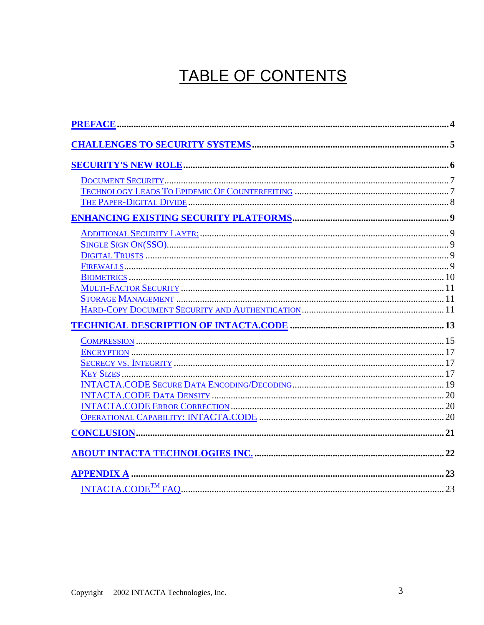## TABLE OF CONTENTS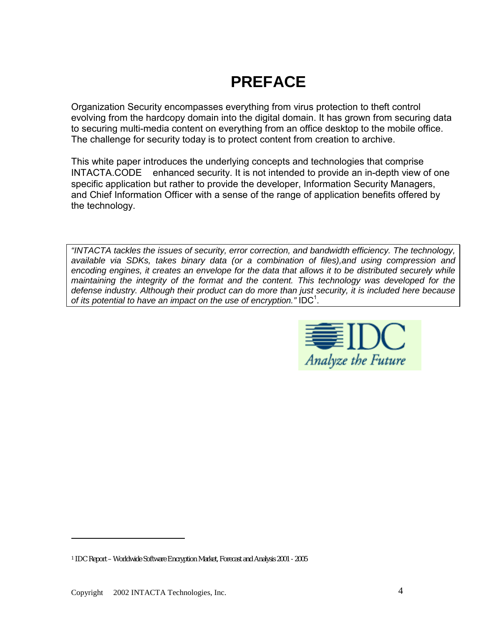## **PREFACE**

<span id="page-3-0"></span>Organization Security encompasses everything from virus protection to theft control evolving from the hardcopy domain into the digital domain. It has grown from securing data to securing multi-media content on everything from an office desktop to the mobile office. The challenge for security today is to protect content from creation to archive.

This white paper introduces the underlying concepts and technologies that comprise  $INTACTA. CODE<sup>TM</sup> enhanced security. It is not intended to provide an in-depth view of one$ specific application but rather to provide the developer, Information Security Managers, and Chief Information Officer with a sense of the range of application benefits offered by the technology.

*"INTACTA tackles the issues of security, error correction, and bandwidth efficiency. The technology, available via SDKs, takes binary data (or a combination of files),and using compression and encoding engines, it creates an envelope for the data that allows it to be distributed securely while maintaining the integrity of the format and the content. This technology was developed for the defense industry. Although their product can do more than just security, it is included here because* of its potential to have an impact on the use of encryption." IDC<sup>1</sup>.



 $\overline{a}$ 

<sup>1</sup> IDC Report – Worldwide Software Encryption Market, Forecast and Analysis 2001 - 2005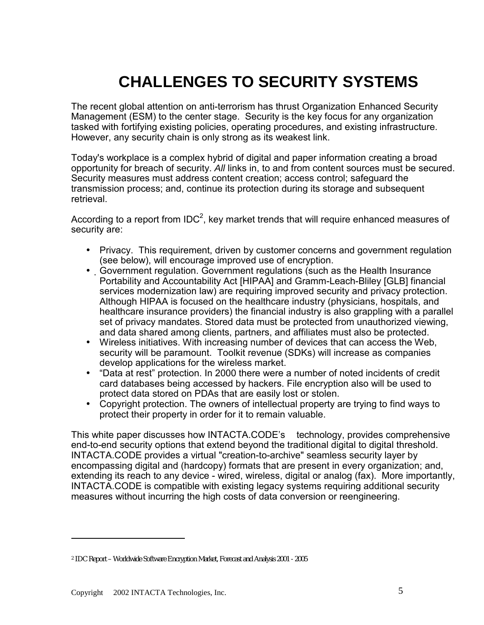## **CHALLENGES TO SECURITY SYSTEMS**

<span id="page-4-0"></span>The recent global attention on anti-terrorism has thrust Organization Enhanced Security Management (ESM) to the center stage. Security is the key focus for any organization tasked with fortifying existing policies, operating procedures, and existing infrastructure. However, any security chain is only strong as its weakest link.

Today's workplace is a complex hybrid of digital and paper information creating a broad opportunity for breach of security. *All* links in, to and from content sources must be secured. Security measures must address content creation; access control; safeguard the transmission process; and, continue its protection during its storage and subsequent retrieval.

According to a report from IDC<sup>2</sup>, key market trends that will require enhanced measures of security are:

- Privacy. This requirement, driven by customer concerns and government regulation (see below), will encourage improved use of encryption.
- Government regulation. Government regulations (such as the Health Insurance Portability and Accountability Act [HIPAA] and Gramm-Leach-Bliley [GLB] financial services modernization law) are requiring improved security and privacy protection. Although HIPAA is focused on the healthcare industry (physicians, hospitals, and healthcare insurance providers) the financial industry is also grappling with a parallel set of privacy mandates. Stored data must be protected from unauthorized viewing, and data shared among clients, partners, and affiliates must also be protected.
- Wireless initiatives. With increasing number of devices that can access the Web, security will be paramount. Toolkit revenue (SDKs) will increase as companies develop applications for the wireless market.
- "Data at rest" protection. In 2000 there were a number of noted incidents of credit card databases being accessed by hackers. File encryption also will be used to protect data stored on PDAs that are easily lost or stolen.
- Copyright protection. The owners of intellectual property are trying to find ways to protect their property in order for it to remain valuable.

This white paper discusses how INTACTA.CODE's™ technology, provides comprehensive end-to-end security options that extend beyond the traditional digital to digital threshold. INTACTA.CODE provides a virtual "creation-to-archive" seamless security layer by encompassing digital and (hardcopy) formats that are present in every organization; and, extending its reach to any device - wired, wireless, digital or analog (fax). More importantly, INTACTA.CODE is compatible with existing legacy systems requiring additional security measures without incurring the high costs of data conversion or reengineering.

 $\overline{a}$ 

<sup>2</sup> IDC Report – Worldwide Software Encryption Market, Forecast and Analysis 2001 - 2005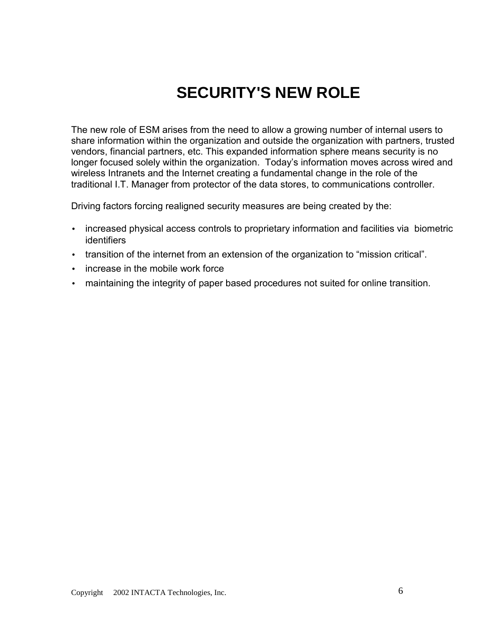## **SECURITY'S NEW ROLE**

<span id="page-5-0"></span>The new role of ESM arises from the need to allow a growing number of internal users to share information within the organization and outside the organization with partners, trusted vendors, financial partners, etc. This expanded information sphere means security is no longer focused solely within the organization. Today's information moves across wired and wireless Intranets and the Internet creating a fundamental change in the role of the traditional I.T. Manager from protector of the data stores, to communications controller.

Driving factors forcing realigned security measures are being created by the:

- increased physical access controls to proprietary information and facilities via biometric identifiers
- transition of the internet from an extension of the organization to "mission critical".
- increase in the mobile work force
- maintaining the integrity of paper based procedures not suited for online transition.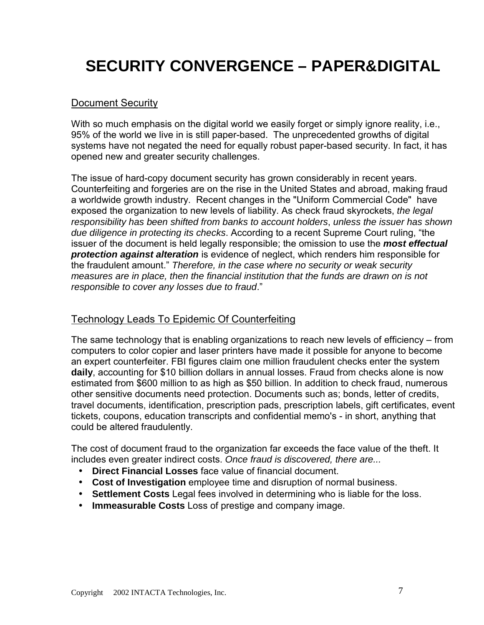## <span id="page-6-0"></span>**SECURITY CONVERGENCE – PAPER&DIGITAL**

### Document Security

With so much emphasis on the digital world we easily forget or simply ignore reality, i.e., 95% of the world we live in is still paper-based. The unprecedented growths of digital systems have not negated the need for equally robust paper-based security. In fact, it has opened new and greater security challenges.

The issue of hard-copy document security has grown considerably in recent years. Counterfeiting and forgeries are on the rise in the United States and abroad, making fraud a worldwide growth industry. Recent changes in the "Uniform Commercial Code" have exposed the organization to new levels of liability. As check fraud skyrockets, *the legal responsibility has been shifted from banks to account holders*, *unless the issuer has shown due diligence in protecting its checks*. According to a recent Supreme Court ruling, "the issuer of the document is held legally responsible; the omission to use the *most effectual protection against alteration* is evidence of neglect, which renders him responsible for the fraudulent amount." *Therefore, in the case where no security or weak security measures are in place, then the financial institution that the funds are drawn on is not responsible to cover any losses due to fraud*."

### Technology Leads To Epidemic Of Counterfeiting

The same technology that is enabling organizations to reach new levels of efficiency – from computers to color copier and laser printers have made it possible for anyone to become an expert counterfeiter. FBI figures claim one million fraudulent checks enter the system **daily**, accounting for \$10 billion dollars in annual losses. Fraud from checks alone is now estimated from \$600 million to as high as \$50 billion. In addition to check fraud, numerous other sensitive documents need protection. Documents such as; bonds, letter of credits, travel documents, identification, prescription pads, prescription labels, gift certificates, event tickets, coupons, education transcripts and confidential memo's - in short, anything that could be altered fraudulently.

The cost of document fraud to the organization far exceeds the face value of the theft. It includes even greater indirect costs. *Once fraud is discovered, there are...*

- **Direct Financial Losses** face value of financial document.
- **Cost of Investigation** employee time and disruption of normal business.
- **Settlement Costs** Legal fees involved in determining who is liable for the loss.
- **Immeasurable Costs** Loss of prestige and company image.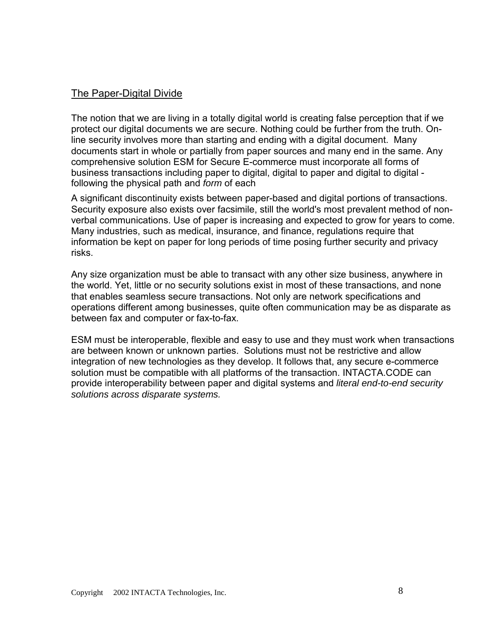### <span id="page-7-0"></span>The Paper-Digital Divide

The notion that we are living in a totally digital world is creating false perception that if we protect our digital documents we are secure. Nothing could be further from the truth. Online security involves more than starting and ending with a digital document. Many documents start in whole or partially from paper sources and many end in the same. Any comprehensive solution ESM for Secure E-commerce must incorporate all forms of business transactions including paper to digital, digital to paper and digital to digital following the physical path and *form* of each

A significant discontinuity exists between paper-based and digital portions of transactions. Security exposure also exists over facsimile, still the world's most prevalent method of nonverbal communications. Use of paper is increasing and expected to grow for years to come. Many industries, such as medical, insurance, and finance, regulations require that information be kept on paper for long periods of time posing further security and privacy risks.

Any size organization must be able to transact with any other size business, anywhere in the world. Yet, little or no security solutions exist in most of these transactions, and none that enables seamless secure transactions. Not only are network specifications and operations different among businesses, quite often communication may be as disparate as between fax and computer or fax-to-fax.

ESM must be interoperable, flexible and easy to use and they must work when transactions are between known or unknown parties. Solutions must not be restrictive and allow integration of new technologies as they develop. It follows that, any secure e-commerce solution must be compatible with all platforms of the transaction. INTACTA.CODE can provide interoperability between paper and digital systems and *literal end-to-end security solutions across disparate systems.*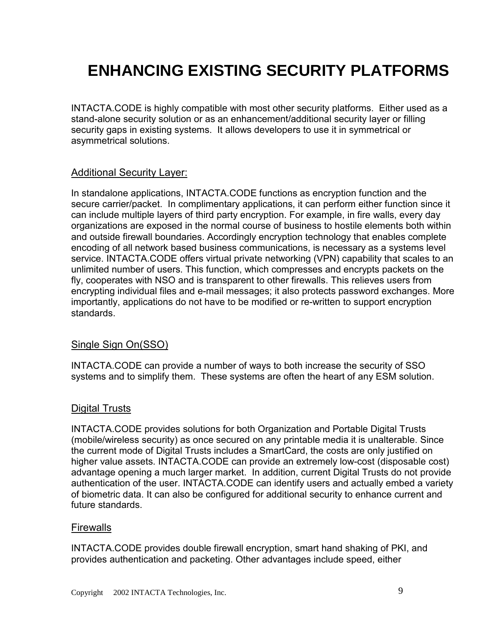## <span id="page-8-0"></span>**ENHANCING EXISTING SECURITY PLATFORMS**

INTACTA.CODE is highly compatible with most other security platforms. Either used as a stand-alone security solution or as an enhancement/additional security layer or filling security gaps in existing systems. It allows developers to use it in symmetrical or asymmetrical solutions.

#### Additional Security Layer:

In standalone applications, INTACTA.CODE functions as encryption function and the secure carrier/packet. In complimentary applications, it can perform either function since it can include multiple layers of third party encryption. For example, in fire walls, every day organizations are exposed in the normal course of business to hostile elements both within and outside firewall boundaries. Accordingly encryption technology that enables complete encoding of all network based business communications, is necessary as a systems level service. INTACTA.CODE offers virtual private networking (VPN) capability that scales to an unlimited number of users. This function, which compresses and encrypts packets on the fly, cooperates with NSO and is transparent to other firewalls. This relieves users from encrypting individual files and e-mail messages; it also protects password exchanges. More importantly, applications do not have to be modified or re-written to support encryption standards.

### Single Sign On(SSO)

INTACTA.CODE can provide a number of ways to both increase the security of SSO systems and to simplify them. These systems are often the heart of any ESM solution.

#### Digital Trusts

INTACTA.CODE provides solutions for both Organization and Portable Digital Trusts (mobile/wireless security) as once secured on any printable media it is unalterable. Since the current mode of Digital Trusts includes a SmartCard, the costs are only justified on higher value assets. INTACTA.CODE can provide an extremely low-cost (disposable cost) advantage opening a much larger market. In addition, current Digital Trusts do not provide authentication of the user. INTACTA.CODE can identify users and actually embed a variety of biometric data. It can also be configured for additional security to enhance current and future standards.

#### **Firewalls**

INTACTA.CODE provides double firewall encryption, smart hand shaking of PKI, and provides authentication and packeting. Other advantages include speed, either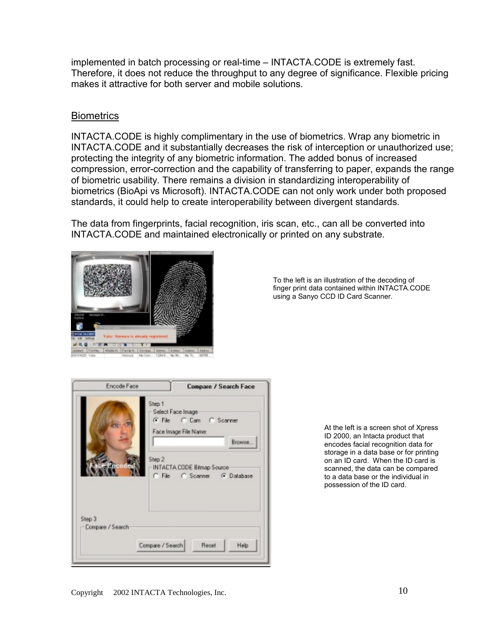<span id="page-9-0"></span>implemented in batch processing or real-time – INTACTA.CODE is extremely fast. Therefore, it does not reduce the throughput to any degree of significance. Flexible pricing makes it attractive for both server and mobile solutions.

### **Biometrics**

INTACTA.CODE is highly complimentary in the use of biometrics. Wrap any biometric in INTACTA.CODE and it substantially decreases the risk of interception or unauthorized use; protecting the integrity of any biometric information. The added bonus of increased compression, error-correction and the capability of transferring to paper, expands the range of biometric usability. There remains a division in standardizing interoperability of biometrics (BioApi vs Microsoft). INTACTA.CODE can not only work under both proposed standards, it could help to create interoperability between divergent standards.

The data from fingerprints, facial recognition, iris scan, etc., can all be converted into INTACTA.CODE and maintained electronically or printed on any substrate.



To the left is an illustration of the decoding of finger print data contained within INTACTA.CODE using a Sanyo CCD ID Card Scanner.



At the left is a screen shot of Xpress ID 2000, an Intacta product that encodes facial recognition data for storage in a data base or for printing on an ID card. When the ID card is scanned, the data can be compared to a data base or the individual in possession of the ID card.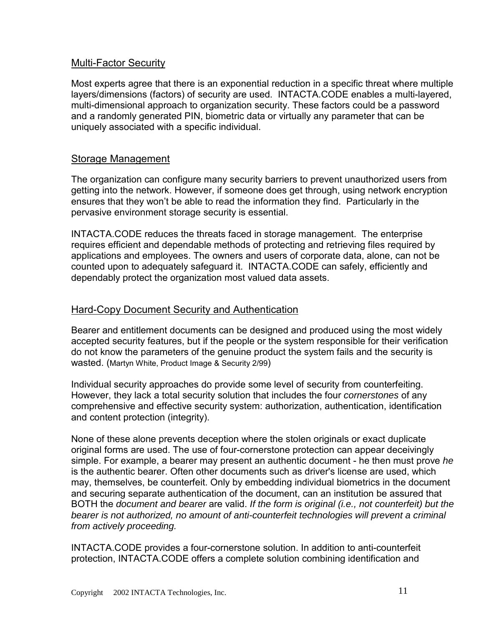#### <span id="page-10-0"></span>Multi-Factor Security

Most experts agree that there is an exponential reduction in a specific threat where multiple layers/dimensions (factors) of security are used. INTACTA.CODE enables a multi-layered, multi-dimensional approach to organization security. These factors could be a password and a randomly generated PIN, biometric data or virtually any parameter that can be uniquely associated with a specific individual.

### Storage Management

The organization can configure many security barriers to prevent unauthorized users from getting into the network. However, if someone does get through, using network encryption ensures that they won't be able to read the information they find. Particularly in the pervasive environment storage security is essential.

INTACTA.CODE reduces the threats faced in storage management. The enterprise requires efficient and dependable methods of protecting and retrieving files required by applications and employees. The owners and users of corporate data, alone, can not be counted upon to adequately safeguard it. INTACTA.CODE can safely, efficiently and dependably protect the organization most valued data assets.

### Hard-Copy Document Security and Authentication

Bearer and entitlement documents can be designed and produced using the most widely accepted security features, but if the people or the system responsible for their verification do not know the parameters of the genuine product the system fails and the security is wasted. (Martyn White, Product Image & Security 2/99)

Individual security approaches do provide some level of security from counterfeiting. However, they lack a total security solution that includes the four *cornerstones* of any comprehensive and effective security system: authorization, authentication, identification and content protection (integrity).

None of these alone prevents deception where the stolen originals or exact duplicate original forms are used. The use of four-cornerstone protection can appear deceivingly simple. For example, a bearer may present an authentic document - he then must prove *he* is the authentic bearer. Often other documents such as driver's license are used, which may, themselves, be counterfeit. Only by embedding individual biometrics in the document and securing separate authentication of the document, can an institution be assured that BOTH the *document and bearer* are valid. *If the form is original (i.e., not counterfeit) but the bearer is not authorized, no amount of anti-counterfeit technologies will prevent a criminal from actively proceeding.*

INTACTA.CODE provides a four-cornerstone solution. In addition to anti-counterfeit protection, INTACTA.CODE offers a complete solution combining identification and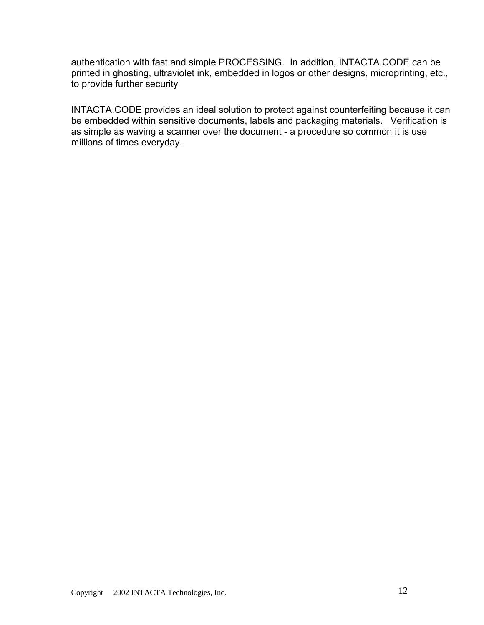authentication with fast and simple PROCESSING. In addition, INTACTA.CODE can be printed in ghosting, ultraviolet ink, embedded in logos or other designs, microprinting, etc., to provide further security

INTACTA.CODE provides an ideal solution to protect against counterfeiting because it can be embedded within sensitive documents, labels and packaging materials. Verification is as simple as waving a scanner over the document - a procedure so common it is use millions of times everyday.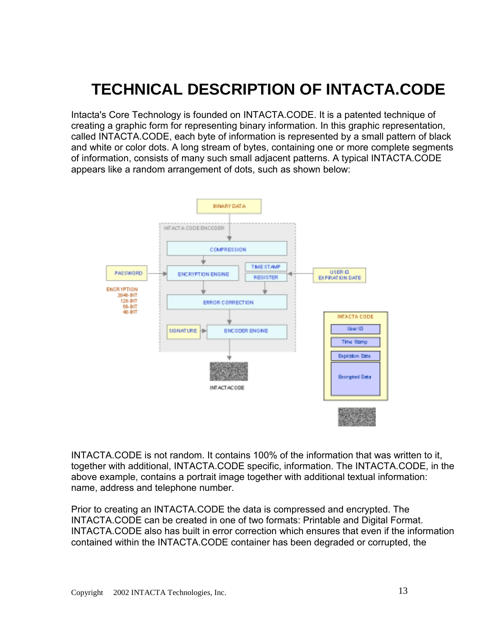## <span id="page-12-0"></span>**TECHNICAL DESCRIPTION OF INTACTA.CODE**

Intacta's Core Technology is founded on INTACTA.CODE. It is a patented technique of creating a graphic form for representing binary information. In this graphic representation, called INTACTA.CODE, each byte of information is represented by a small pattern of black and white or color dots. A long stream of bytes, containing one or more complete segments of information, consists of many such small adjacent patterns. A typical INTACTA.CODE appears like a random arrangement of dots, such as shown below:



INTACTA.CODE is not random. It contains 100% of the information that was written to it, together with additional, INTACTA.CODE specific, information. The INTACTA.CODE, in the above example, contains a portrait image together with additional textual information: name, address and telephone number.

Prior to creating an INTACTA.CODE the data is compressed and encrypted. The INTACTA.CODE can be created in one of two formats: Printable and Digital Format. INTACTA.CODE also has built in error correction which ensures that even if the information contained within the INTACTA.CODE container has been degraded or corrupted, the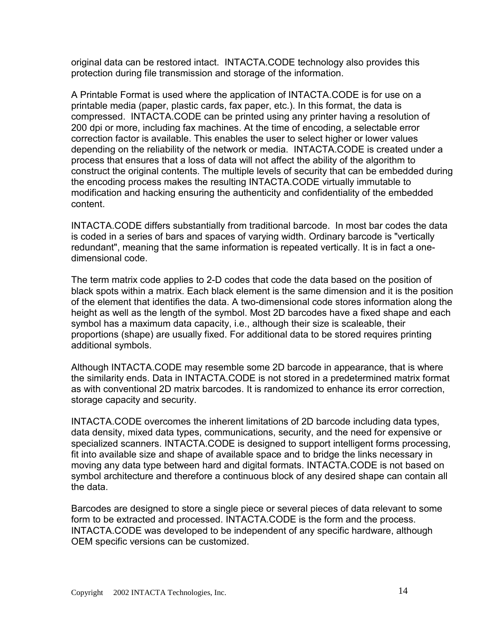original data can be restored intact. INTACTA.CODE technology also provides this protection during file transmission and storage of the information.

A Printable Format is used where the application of INTACTA.CODE is for use on a printable media (paper, plastic cards, fax paper, etc.). In this format, the data is compressed. INTACTA.CODE can be printed using any printer having a resolution of 200 dpi or more, including fax machines. At the time of encoding, a selectable error correction factor is available. This enables the user to select higher or lower values depending on the reliability of the network or media. INTACTA.CODE is created under a process that ensures that a loss of data will not affect the ability of the algorithm to construct the original contents. The multiple levels of security that can be embedded during the encoding process makes the resulting INTACTA.CODE virtually immutable to modification and hacking ensuring the authenticity and confidentiality of the embedded content.

INTACTA.CODE differs substantially from traditional barcode. In most bar codes the data is coded in a series of bars and spaces of varying width. Ordinary barcode is "vertically redundant", meaning that the same information is repeated vertically. It is in fact a onedimensional code.

The term matrix code applies to 2-D codes that code the data based on the position of black spots within a matrix. Each black element is the same dimension and it is the position of the element that identifies the data. A two-dimensional code stores information along the height as well as the length of the symbol. Most 2D barcodes have a fixed shape and each symbol has a maximum data capacity, i.e., although their size is scaleable, their proportions (shape) are usually fixed. For additional data to be stored requires printing additional symbols.

Although INTACTA.CODE may resemble some 2D barcode in appearance, that is where the similarity ends. Data in INTACTA.CODE is not stored in a predetermined matrix format as with conventional 2D matrix barcodes. It is randomized to enhance its error correction, storage capacity and security.

INTACTA.CODE overcomes the inherent limitations of 2D barcode including data types, data density, mixed data types, communications, security, and the need for expensive or specialized scanners. INTACTA.CODE is designed to support intelligent forms processing, fit into available size and shape of available space and to bridge the links necessary in moving any data type between hard and digital formats. INTACTA.CODE is not based on symbol architecture and therefore a continuous block of any desired shape can contain all the data.

Barcodes are designed to store a single piece or several pieces of data relevant to some form to be extracted and processed. INTACTA.CODE is the form and the process. INTACTA.CODE was developed to be independent of any specific hardware, although OEM specific versions can be customized.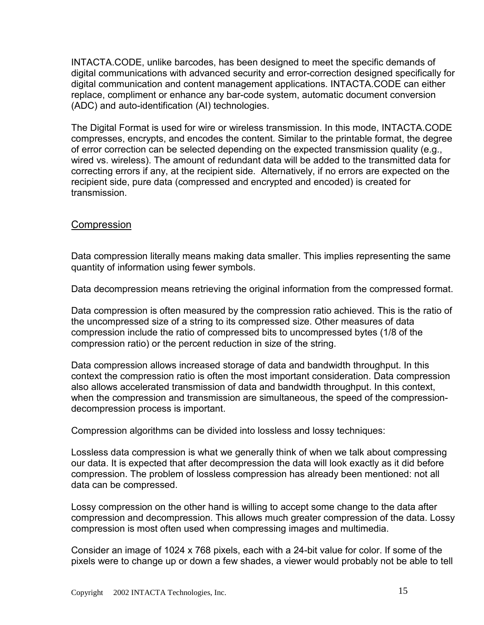<span id="page-14-0"></span>INTACTA.CODE, unlike barcodes, has been designed to meet the specific demands of digital communications with advanced security and error-correction designed specifically for digital communication and content management applications. INTACTA.CODE can either replace, compliment or enhance any bar-code system, automatic document conversion (ADC) and auto-identification (AI) technologies.

The Digital Format is used for wire or wireless transmission. In this mode, INTACTA.CODE compresses, encrypts, and encodes the content. Similar to the printable format, the degree of error correction can be selected depending on the expected transmission quality (e.g., wired vs. wireless). The amount of redundant data will be added to the transmitted data for correcting errors if any, at the recipient side. Alternatively, if no errors are expected on the recipient side, pure data (compressed and encrypted and encoded) is created for transmission.

### **Compression**

Data compression literally means making data smaller. This implies representing the same quantity of information using fewer symbols.

Data decompression means retrieving the original information from the compressed format.

Data compression is often measured by the compression ratio achieved. This is the ratio of the uncompressed size of a string to its compressed size. Other measures of data compression include the ratio of compressed bits to uncompressed bytes (1/8 of the compression ratio) or the percent reduction in size of the string.

Data compression allows increased storage of data and bandwidth throughput. In this context the compression ratio is often the most important consideration. Data compression also allows accelerated transmission of data and bandwidth throughput. In this context, when the compression and transmission are simultaneous, the speed of the compressiondecompression process is important.

Compression algorithms can be divided into lossless and lossy techniques:

Lossless data compression is what we generally think of when we talk about compressing our data. It is expected that after decompression the data will look exactly as it did before compression. The problem of lossless compression has already been mentioned: not all data can be compressed.

Lossy compression on the other hand is willing to accept some change to the data after compression and decompression. This allows much greater compression of the data. Lossy compression is most often used when compressing images and multimedia.

Consider an image of 1024 x 768 pixels, each with a 24-bit value for color. If some of the pixels were to change up or down a few shades, a viewer would probably not be able to tell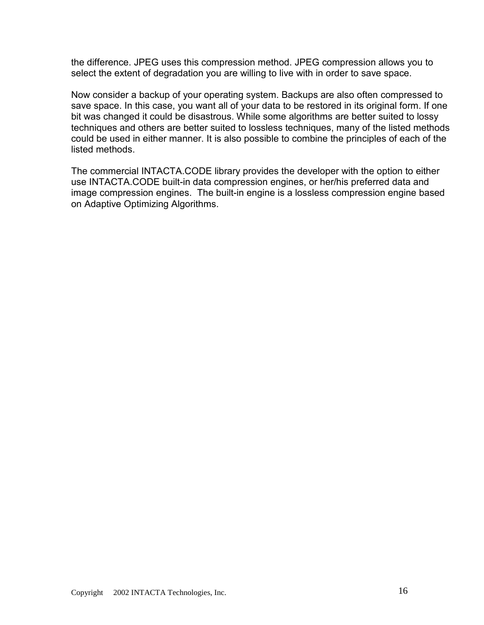the difference. JPEG uses this compression method. JPEG compression allows you to select the extent of degradation you are willing to live with in order to save space.

Now consider a backup of your operating system. Backups are also often compressed to save space. In this case, you want all of your data to be restored in its original form. If one bit was changed it could be disastrous. While some algorithms are better suited to lossy techniques and others are better suited to lossless techniques, many of the listed methods could be used in either manner. It is also possible to combine the principles of each of the listed methods.

The commercial INTACTA.CODE library provides the developer with the option to either use INTACTA.CODE built-in data compression engines, or her/his preferred data and image compression engines. The built-in engine is a lossless compression engine based on Adaptive Optimizing Algorithms.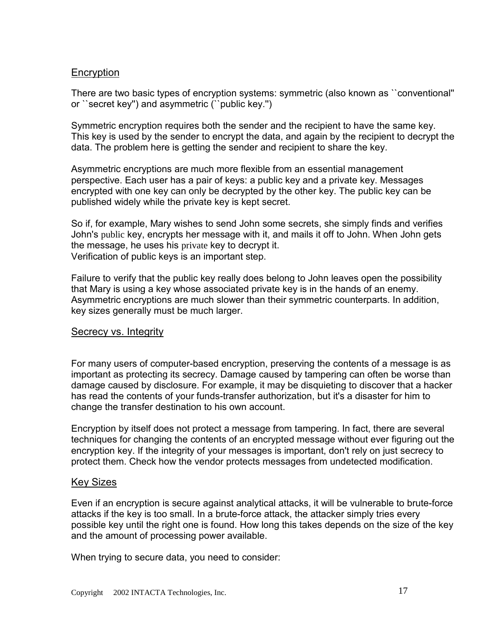### <span id="page-16-0"></span>**Encryption**

There are two basic types of encryption systems: symmetric (also known as ``conventional'' or ``secret key'') and asymmetric (``public key.'')

Symmetric encryption requires both the sender and the recipient to have the same key. This key is used by the sender to encrypt the data, and again by the recipient to decrypt the data. The problem here is getting the sender and recipient to share the key.

Asymmetric encryptions are much more flexible from an essential management perspective. Each user has a pair of keys: a public key and a private key. Messages encrypted with one key can only be decrypted by the other key. The public key can be published widely while the private key is kept secret.

So if, for example, Mary wishes to send John some secrets, she simply finds and verifies John's public key, encrypts her message with it, and mails it off to John. When John gets the message, he uses his private key to decrypt it. Verification of public keys is an important step.

Failure to verify that the public key really does belong to John leaves open the possibility that Mary is using a key whose associated private key is in the hands of an enemy. Asymmetric encryptions are much slower than their symmetric counterparts. In addition, key sizes generally must be much larger.

#### Secrecy vs. Integrity

For many users of computer-based encryption, preserving the contents of a message is as important as protecting its secrecy. Damage caused by tampering can often be worse than damage caused by disclosure. For example, it may be disquieting to discover that a hacker has read the contents of your funds-transfer authorization, but it's a disaster for him to change the transfer destination to his own account.

Encryption by itself does not protect a message from tampering. In fact, there are several techniques for changing the contents of an encrypted message without ever figuring out the encryption key. If the integrity of your messages is important, don't rely on just secrecy to protect them. Check how the vendor protects messages from undetected modification.

#### Key Sizes

Even if an encryption is secure against analytical attacks, it will be vulnerable to brute-force attacks if the key is too small. In a brute-force attack, the attacker simply tries every possible key until the right one is found. How long this takes depends on the size of the key and the amount of processing power available.

When trying to secure data, you need to consider: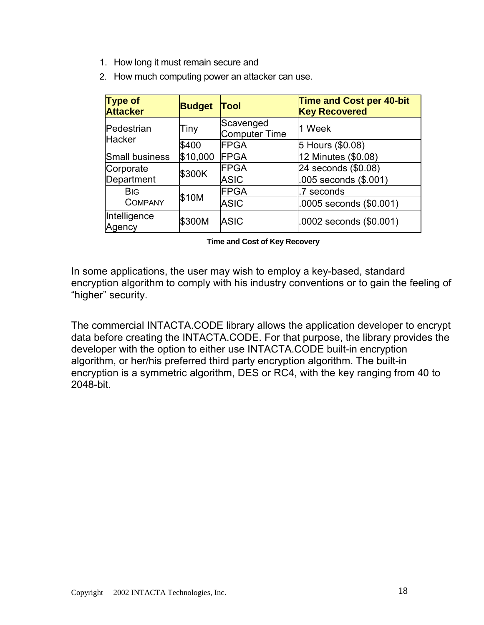- 1. How long it must remain secure and
- 2. How much computing power an attacker can use.

| <b>Type of</b><br><b>Attacker</b>        | <b>Budget</b> | Tool                       | <b>Time and Cost per 40-bit</b><br><b>Key Recovered</b> |
|------------------------------------------|---------------|----------------------------|---------------------------------------------------------|
| Pedestrian<br>Hacker                     | Tiny          | Scavenged<br>Computer Time | 1 Week                                                  |
|                                          | \$400         | <b>FPGA</b>                | 5 Hours (\$0.08)                                        |
| Small business                           | \$10,000      | <b>FPGA</b>                | 12 Minutes (\$0.08)                                     |
| Corporate                                | \$300K        | FPGA                       | 24 seconds (\$0.08)                                     |
| Department                               |               | <b>ASIC</b>                | .005 seconds (\$.001)                                   |
| <b>B</b> <sub>IG</sub><br><b>COMPANY</b> | \$10M         | <b>FPGA</b>                | .7 seconds                                              |
|                                          |               | <b>ASIC</b>                | .0005 seconds (\$0.001)                                 |
| Intelligence<br>Agency                   | \$300M        | <b>ASIC</b>                | .0002 seconds (\$0.001)                                 |

#### **Time and Cost of Key Recovery**

In some applications, the user may wish to employ a key-based, standard encryption algorithm to comply with his industry conventions or to gain the feeling of "higher" security.

The commercial INTACTA.CODE library allows the application developer to encrypt data before creating the INTACTA.CODE. For that purpose, the library provides the developer with the option to either use INTACTA.CODE built-in encryption algorithm, or her/his preferred third party encryption algorithm. The built-in encryption is a symmetric algorithm, DES or RC4, with the key ranging from 40 to 2048-bit.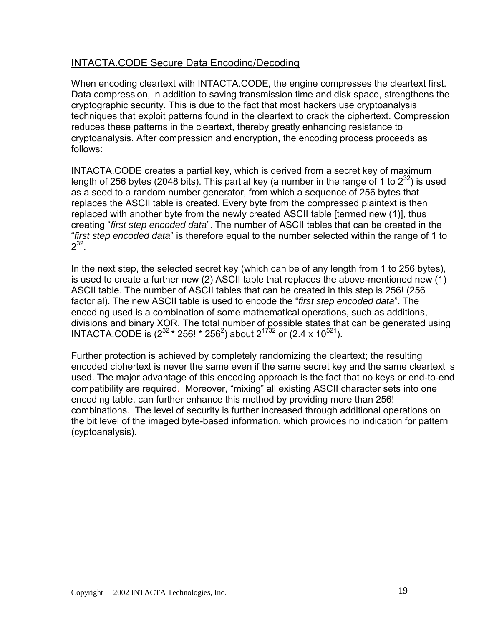### <span id="page-18-0"></span>INTACTA.CODE Secure Data Encoding/Decoding

When encoding cleartext with INTACTA.CODE, the engine compresses the cleartext first. Data compression, in addition to saving transmission time and disk space, strengthens the cryptographic security. This is due to the fact that most hackers use cryptoanalysis techniques that exploit patterns found in the cleartext to crack the ciphertext. Compression reduces these patterns in the cleartext, thereby greatly enhancing resistance to cryptoanalysis. After compression and encryption, the encoding process proceeds as follows:

INTACTA.CODE creates a partial key, which is derived from a secret key of maximum length of 256 bytes (2048 bits). This partial key (a number in the range of 1 to  $2^{32}$ ) is used as a seed to a random number generator, from which a sequence of 256 bytes that replaces the ASCII table is created. Every byte from the compressed plaintext is then replaced with another byte from the newly created ASCII table [termed new (1)], thus creating "*first step encoded data*". The number of ASCII tables that can be created in the "*first step encoded data*" is therefore equal to the number selected within the range of 1 to  $2^{32}$ .

In the next step, the selected secret key (which can be of any length from 1 to 256 bytes), is used to create a further new (2) ASCII table that replaces the above-mentioned new (1) ASCII table. The number of ASCII tables that can be created in this step is 256! (256 factorial). The new ASCII table is used to encode the "*first step encoded data*". The encoding used is a combination of some mathematical operations, such as additions, divisions and binary XOR. The total number of possible states that can be generated using INTACTA.CODE is  $(2^{32} * 256! * 256^2)$  about  $2^{1732}$  or  $(2.4 \times 10^{521})$ .

Further protection is achieved by completely randomizing the cleartext; the resulting encoded ciphertext is never the same even if the same secret key and the same cleartext is used. The major advantage of this encoding approach is the fact that no keys or end-to-end compatibility are required. Moreover, "mixing" all existing ASCII character sets into one encoding table, can further enhance this method by providing more than 256! combinations. The level of security is further increased through additional operations on the bit level of the imaged byte-based information, which provides no indication for pattern (cyptoanalysis).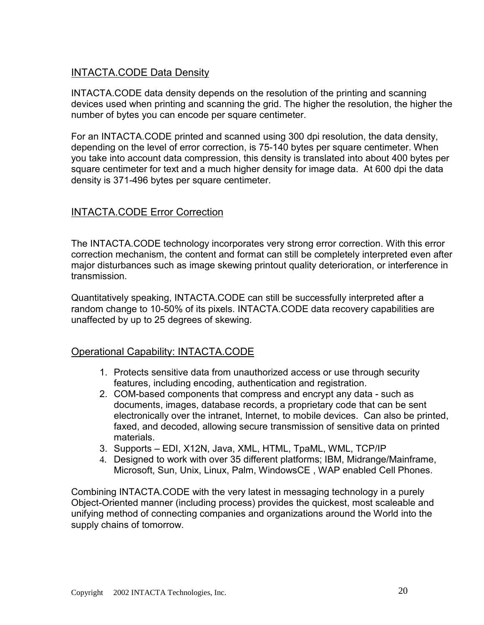## <span id="page-19-0"></span>INTACTA.CODE Data Density

INTACTA.CODE data density depends on the resolution of the printing and scanning devices used when printing and scanning the grid. The higher the resolution, the higher the number of bytes you can encode per square centimeter.

For an INTACTA.CODE printed and scanned using 300 dpi resolution, the data density, depending on the level of error correction, is 75-140 bytes per square centimeter. When you take into account data compression, this density is translated into about 400 bytes per square centimeter for text and a much higher density for image data. At 600 dpi the data density is 371-496 bytes per square centimeter.

## INTACTA.CODE Error Correction

The INTACTA.CODE technology incorporates very strong error correction. With this error correction mechanism, the content and format can still be completely interpreted even after major disturbances such as image skewing printout quality deterioration, or interference in transmission.

Quantitatively speaking, INTACTA.CODE can still be successfully interpreted after a random change to 10-50% of its pixels. INTACTA.CODE data recovery capabilities are unaffected by up to 25 degrees of skewing.

## Operational Capability: INTACTA.CODE

- 1. Protects sensitive data from unauthorized access or use through security features, including encoding, authentication and registration.
- 2. COM-based components that compress and encrypt any data such as documents, images, database records, a proprietary code that can be sent electronically over the intranet, Internet, to mobile devices. Can also be printed, faxed, and decoded, allowing secure transmission of sensitive data on printed materials.
- 3. Supports EDI, X12N, Java, XML, HTML, TpaML, WML, TCP/IP
- 4. Designed to work with over 35 different platforms; IBM, Midrange/Mainframe, Microsoft, Sun, Unix, Linux, Palm, WindowsCE , WAP enabled Cell Phones.

Combining INTACTA.CODE with the very latest in messaging technology in a purely Object-Oriented manner (including process) provides the quickest, most scaleable and unifying method of connecting companies and organizations around the World into the supply chains of tomorrow.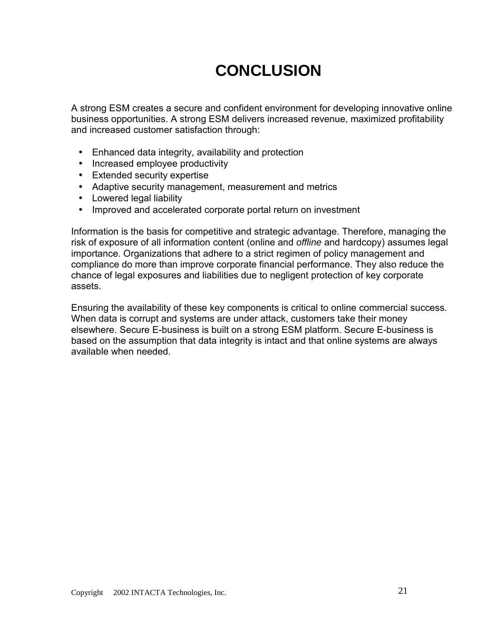## **CONCLUSION**

<span id="page-20-0"></span>A strong ESM creates a secure and confident environment for developing innovative online business opportunities. A strong ESM delivers increased revenue, maximized profitability and increased customer satisfaction through:

- Enhanced data integrity, availability and protection
- Increased employee productivity
- Extended security expertise
- Adaptive security management, measurement and metrics
- Lowered legal liability
- Improved and accelerated corporate portal return on investment

Information is the basis for competitive and strategic advantage. Therefore, managing the risk of exposure of all information content (online and *offline* and hardcopy) assumes legal importance. Organizations that adhere to a strict regimen of policy management and compliance do more than improve corporate financial performance. They also reduce the chance of legal exposures and liabilities due to negligent protection of key corporate assets.

Ensuring the availability of these key components is critical to online commercial success. When data is corrupt and systems are under attack, customers take their money elsewhere. Secure E-business is built on a strong ESM platform. Secure E-business is based on the assumption that data integrity is intact and that online systems are always available when needed.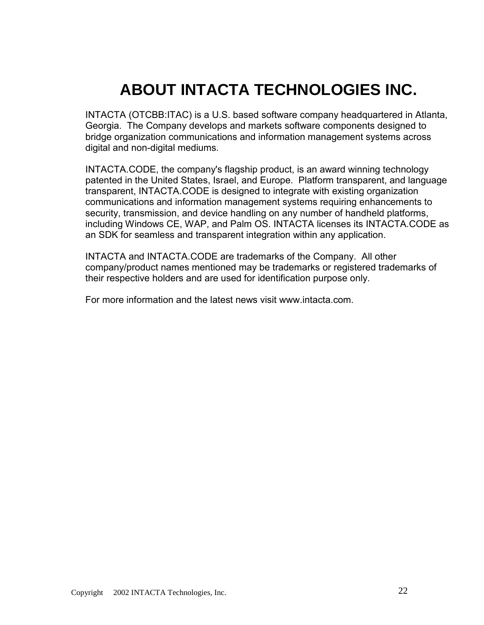## **ABOUT INTACTA TECHNOLOGIES INC.**

<span id="page-21-0"></span>INTACTA (OTCBB:ITAC) is a U.S. based software company headquartered in Atlanta, Georgia. The Company develops and markets software components designed to bridge organization communications and information management systems across digital and non-digital mediums.

INTACTA.CODE, the company's flagship product, is an award winning technology patented in the United States, Israel, and Europe. Platform transparent, and language transparent, INTACTA.CODE is designed to integrate with existing organization communications and information management systems requiring enhancements to security, transmission, and device handling on any number of handheld platforms, including Windows CE, WAP, and Palm OS. INTACTA licenses its INTACTA.CODE as an SDK for seamless and transparent integration within any application.

INTACTA and INTACTA.CODE are trademarks of the Company. All other company/product names mentioned may be trademarks or registered trademarks of their respective holders and are used for identification purpose only.

For more information and the latest news visit [www.intacta.com.](http://www.intacta.com/)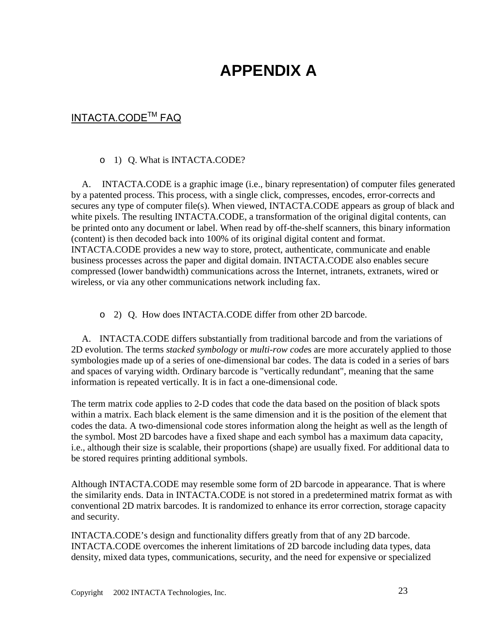## **APPENDIX A**

## <span id="page-22-0"></span>INTACTA.CODE<sup>™</sup> FAQ

#### o 1) Q. What is INTACTA.CODE?

A. INTACTA.CODE is a graphic image (i.e., binary representation) of computer files generated by a patented process. This process, with a single click, compresses, encodes, error-corrects and secures any type of computer file(s). When viewed, INTACTA.CODE appears as group of black and white pixels. The resulting INTACTA.CODE, a transformation of the original digital contents, can be printed onto any document or label. When read by off-the-shelf scanners, this binary information (content) is then decoded back into 100% of its original digital content and format. INTACTA.CODE provides a new way to store, protect, authenticate, communicate and enable business processes across the paper and digital domain. INTACTA.CODE also enables secure compressed (lower bandwidth) communications across the Internet, intranets, extranets, wired or wireless, or via any other communications network including fax.

o 2) Q. How does INTACTA.CODE differ from other 2D barcode.

A. INTACTA.CODE differs substantially from traditional barcode and from the variations of 2D evolution. The terms *stacked symbology* or *multi-row code*s are more accurately applied to those symbologies made up of a series of one-dimensional bar codes. The data is coded in a series of bars and spaces of varying width. Ordinary barcode is "vertically redundant", meaning that the same information is repeated vertically. It is in fact a one-dimensional code.

The term matrix code applies to 2-D codes that code the data based on the position of black spots within a matrix. Each black element is the same dimension and it is the position of the element that codes the data. A two-dimensional code stores information along the height as well as the length of the symbol. Most 2D barcodes have a fixed shape and each symbol has a maximum data capacity, i.e., although their size is scalable, their proportions (shape) are usually fixed. For additional data to be stored requires printing additional symbols.

Although INTACTA.CODE may resemble some form of 2D barcode in appearance. That is where the similarity ends. Data in INTACTA.CODE is not stored in a predetermined matrix format as with conventional 2D matrix barcodes. It is randomized to enhance its error correction, storage capacity and security.

INTACTA.CODE's design and functionality differs greatly from that of any 2D barcode. INTACTA.CODE overcomes the inherent limitations of 2D barcode including data types, data density, mixed data types, communications, security, and the need for expensive or specialized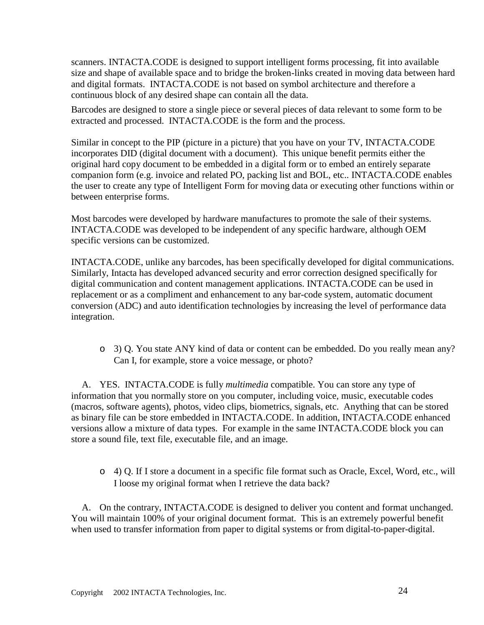scanners. INTACTA.CODE is designed to support intelligent forms processing, fit into available size and shape of available space and to bridge the broken-links created in moving data between hard and digital formats. INTACTA.CODE is not based on symbol architecture and therefore a continuous block of any desired shape can contain all the data.

Barcodes are designed to store a single piece or several pieces of data relevant to some form to be extracted and processed. INTACTA.CODE is the form and the process.

Similar in concept to the PIP (picture in a picture) that you have on your TV, INTACTA.CODE incorporates DID (digital document with a document). This unique benefit permits either the original hard copy document to be embedded in a digital form or to embed an entirely separate companion form (e.g. invoice and related PO, packing list and BOL, etc.. INTACTA.CODE enables the user to create any type of Intelligent Form for moving data or executing other functions within or between enterprise forms.

Most barcodes were developed by hardware manufactures to promote the sale of their systems. INTACTA.CODE was developed to be independent of any specific hardware, although OEM specific versions can be customized.

INTACTA.CODE, unlike any barcodes, has been specifically developed for digital communications. Similarly, Intacta has developed advanced security and error correction designed specifically for digital communication and content management applications. INTACTA.CODE can be used in replacement or as a compliment and enhancement to any bar-code system, automatic document conversion (ADC) and auto identification technologies by increasing the level of performance data integration.

o 3) Q. You state ANY kind of data or content can be embedded. Do you really mean any? Can I, for example, store a voice message, or photo?

A. YES. INTACTA.CODE is fully *multimedia* compatible. You can store any type of information that you normally store on you computer, including voice, music, executable codes (macros, software agents), photos, video clips, biometrics, signals, etc. Anything that can be stored as binary file can be store embedded in INTACTA.CODE. In addition, INTACTA.CODE enhanced versions allow a mixture of data types. For example in the same INTACTA.CODE block you can store a sound file, text file, executable file, and an image.

o 4) Q. If I store a document in a specific file format such as Oracle, Excel, Word, etc., will I loose my original format when I retrieve the data back?

A. On the contrary, INTACTA.CODE is designed to deliver you content and format unchanged. You will maintain 100% of your original document format. This is an extremely powerful benefit when used to transfer information from paper to digital systems or from digital-to-paper-digital.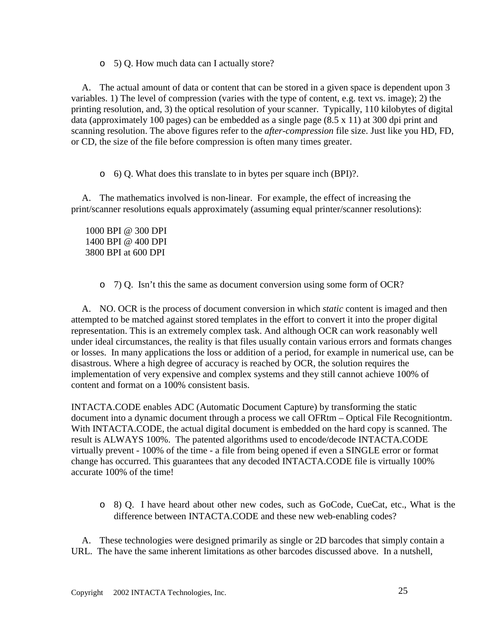o 5) Q. How much data can I actually store?

A. The actual amount of data or content that can be stored in a given space is dependent upon 3 variables. 1) The level of compression (varies with the type of content, e.g. text vs. image); 2) the printing resolution, and, 3) the optical resolution of your scanner. Typically, 110 kilobytes of digital data (approximately 100 pages) can be embedded as a single page (8.5 x 11) at 300 dpi print and scanning resolution. The above figures refer to the *after-compression* file size. Just like you HD, FD, or CD, the size of the file before compression is often many times greater.

o 6) Q. What does this translate to in bytes per square inch (BPI)?.

A. The mathematics involved is non-linear. For example, the effect of increasing the print/scanner resolutions equals approximately (assuming equal printer/scanner resolutions):

1000 BPI @ 300 DPI 1400 BPI @ 400 DPI 3800 BPI at 600 DPI

o 7) Q. Isn't this the same as document conversion using some form of OCR?

A. NO. OCR is the process of document conversion in which *static* content is imaged and then attempted to be matched against stored templates in the effort to convert it into the proper digital representation. This is an extremely complex task. And although OCR can work reasonably well under ideal circumstances, the reality is that files usually contain various errors and formats changes or losses. In many applications the loss or addition of a period, for example in numerical use, can be disastrous. Where a high degree of accuracy is reached by OCR, the solution requires the implementation of very expensive and complex systems and they still cannot achieve 100% of content and format on a 100% consistent basis.

INTACTA.CODE enables ADC (Automatic Document Capture) by transforming the static document into a dynamic document through a process we call OFRtm – Optical File Recognitiontm. With INTACTA.CODE, the actual digital document is embedded on the hard copy is scanned. The result is ALWAYS 100%. The patented algorithms used to encode/decode INTACTA.CODE virtually prevent - 100% of the time - a file from being opened if even a SINGLE error or format change has occurred. This guarantees that any decoded INTACTA.CODE file is virtually 100% accurate 100% of the time!

o 8) Q. I have heard about other new codes, such as GoCode, CueCat, etc., What is the difference between INTACTA.CODE and these new web-enabling codes?

A. These technologies were designed primarily as single or 2D barcodes that simply contain a URL. The have the same inherent limitations as other barcodes discussed above. In a nutshell,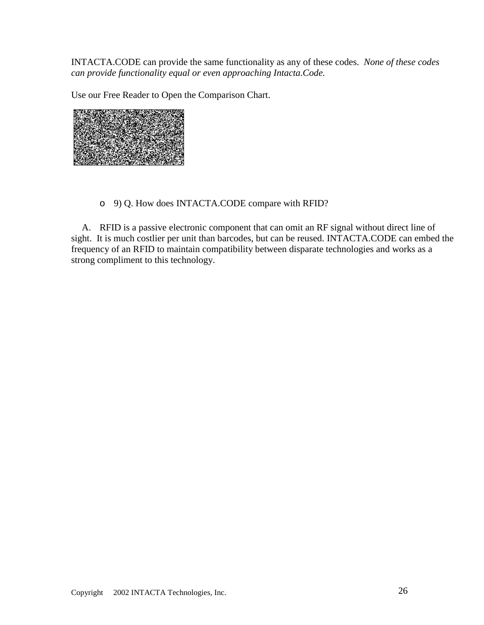INTACTA.CODE can provide the same functionality as any of these codes. *None of these codes can provide functionality equal or even approaching Intacta.Code.*

Use our Free Reader to Open the Comparison Chart.



o 9) Q. How does INTACTA.CODE compare with RFID?

A. RFID is a passive electronic component that can omit an RF signal without direct line of sight. It is much costlier per unit than barcodes, but can be reused. INTACTA.CODE can embed the frequency of an RFID to maintain compatibility between disparate technologies and works as a strong compliment to this technology.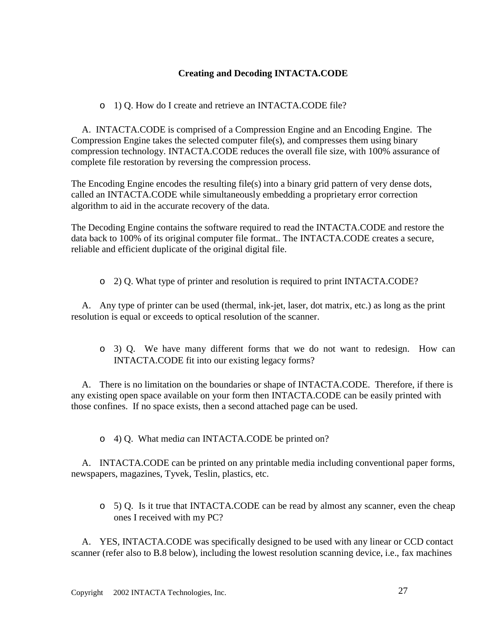#### **Creating and Decoding INTACTA.CODE**

#### o 1) Q. How do I create and retrieve an INTACTA.CODE file?

A. INTACTA.CODE is comprised of a Compression Engine and an Encoding Engine. The Compression Engine takes the selected computer file(s), and compresses them using binary compression technology. INTACTA.CODE reduces the overall file size, with 100% assurance of complete file restoration by reversing the compression process.

The Encoding Engine encodes the resulting file(s) into a binary grid pattern of very dense dots, called an INTACTA.CODE while simultaneously embedding a proprietary error correction algorithm to aid in the accurate recovery of the data.

The Decoding Engine contains the software required to read the INTACTA.CODE and restore the data back to 100% of its original computer file format.. The INTACTA.CODE creates a secure, reliable and efficient duplicate of the original digital file.

o 2) Q. What type of printer and resolution is required to print INTACTA.CODE?

A. Any type of printer can be used (thermal, ink-jet, laser, dot matrix, etc.) as long as the print resolution is equal or exceeds to optical resolution of the scanner.

o 3) Q. We have many different forms that we do not want to redesign. How can INTACTA.CODE fit into our existing legacy forms?

A. There is no limitation on the boundaries or shape of INTACTA.CODE. Therefore, if there is any existing open space available on your form then INTACTA.CODE can be easily printed with those confines. If no space exists, then a second attached page can be used.

o 4) Q. What medi*a* can INTACTA.CODE be printed on?

A. INTACTA.CODE can be printed on any printable media including conventional paper forms, newspapers, magazines, Tyvek, Teslin, plastics, etc.

o 5) Q. Is it true that INTACTA.CODE can be read by almost any scanner, even the cheap ones I received with my PC?

A. YES, INTACTA.CODE was specifically designed to be used with any linear or CCD contact scanner (refer also to B.8 below), including the lowest resolution scanning device, i.e., fax machines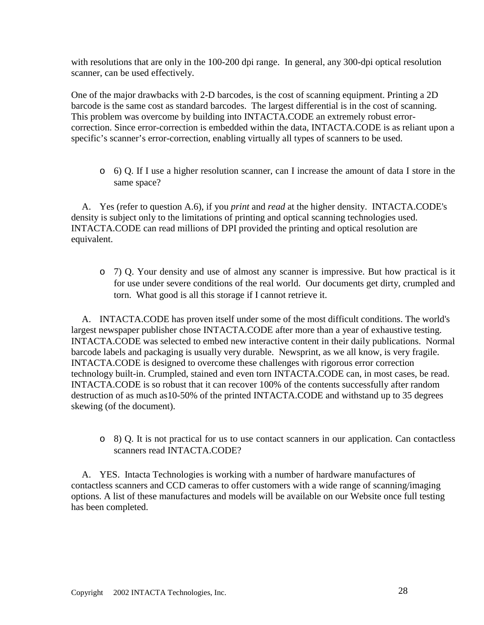with resolutions that are only in the 100-200 dpi range. In general, any 300-dpi optical resolution scanner, can be used effectively.

One of the major drawbacks with 2-D barcodes, is the cost of scanning equipment. Printing a 2D barcode is the same cost as standard barcodes. The largest differential is in the cost of scanning. This problem was overcome by building into INTACTA.CODE an extremely robust errorcorrection. Since error-correction is embedded within the data, INTACTA.CODE is as reliant upon a specific's scanner's error-correction, enabling virtually all types of scanners to be used.

o 6) Q. If I use a higher resolution scanner, can I increase the amount of data I store in the same space?

A. Yes (refer to question A.6), if you *print* and *read* at the higher density. INTACTA.CODE's density is subject only to the limitations of printing and optical scanning technologies used. INTACTA.CODE can read millions of DPI provided the printing and optical resolution are equivalent.

o 7) Q. Your density and use of almost any scanner is impressive. But how practical is it for use under severe conditions of the real world. Our documents get dirty, crumpled and torn. What good is all this storage if I cannot retrieve it.

A. INTACTA.CODE has proven itself under some of the most difficult conditions. The world's largest newspaper publisher chose INTACTA.CODE after more than a year of exhaustive testing. INTACTA.CODE was selected to embed new interactive content in their daily publications. Normal barcode labels and packaging is usually very durable. Newsprint, as we all know, is very fragile. INTACTA.CODE is designed to overcome these challenges with rigorous error correction technology built-in. Crumpled, stained and even torn INTACTA.CODE can, in most cases, be read. INTACTA.CODE is so robust that it can recover 100% of the contents successfully after random destruction of as much as10-50% of the printed INTACTA.CODE and withstand up to 35 degrees skewing (of the document).

o 8) Q. It is not practical for us to use contact scanners in our application. Can contactless scanners read **INTACTA**.CODE?

A. YES. Intacta Technologies is working with a number of hardware manufactures of contactless scanners and CCD cameras to offer customers with a wide range of scanning/imaging options. A list of these manufactures and models will be available on our Website once full testing has been completed.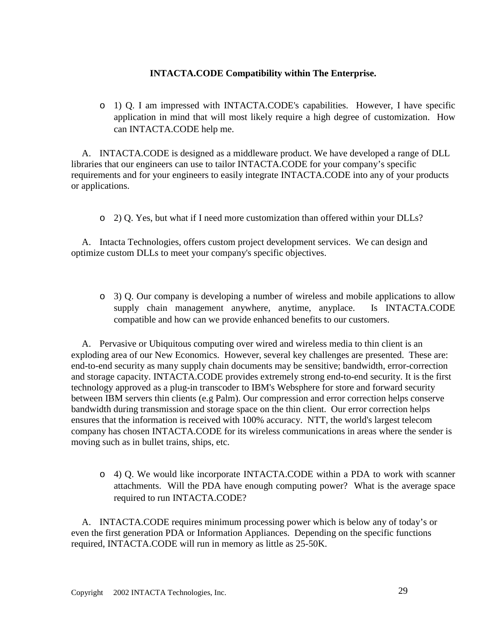#### **INTACTA.CODE Compatibility within The Enterprise.**

o 1) Q. I am impressed with INTACTA.CODE's capabilities. However, I have specific application in mind that will most likely require a high degree of customization. How can INTACTA.CODE help me.

A. INTACTA.CODE is designed as a middleware product. We have developed a range of DLL libraries that our engineers can use to tailor INTACTA.CODE for your company's specific requirements and for your engineers to easily integrate INTACTA.CODE into any of your products or applications.

o 2) Q. Yes, but what if I need more customization than offered within your DLLs?

A. Intacta Technologies, offers custom project development services. We can design and optimize custom DLLs to meet your company's specific objectives.

o 3) Q. Our company is developing a number of wireless and mobile applications to allow supply chain management anywhere, anytime, anyplace. Is INTACTA.CODE compatible and how can we provide enhanced benefits to our customers.

A. Pervasive or Ubiquitous computing over wired and wireless media to thin client is an exploding area of our New Economics. However, several key challenges are presented. These are: end-to-end security as many supply chain documents may be sensitive; bandwidth, error-correction and storage capacity. INTACTA.CODE provides extremely strong end-to-end security. It is the first technology approved as a plug-in transcoder to IBM's Websphere for store and forward security between IBM servers thin clients (e.g Palm). Our compression and error correction helps conserve bandwidth during transmission and storage space on the thin client. Our error correction helps ensures that the information is received with 100% accuracy. NTT, the world's largest telecom company has chosen INTACTA.CODE for its wireless communications in areas where the sender is moving such as in bullet trains, ships, etc.

o 4) Q. We would like incorporate INTACTA.CODE within a PDA to work with scanner attachments. Will the PDA have enough computing power? What is the average space required to run INTACTA.CODE?

A. INTACTA.CODE requires minimum processing power which is below any of today's or even the first generation PDA or Information Appliances. Depending on the specific functions required, INTACTA.CODE will run in memory as little as 25-50K.